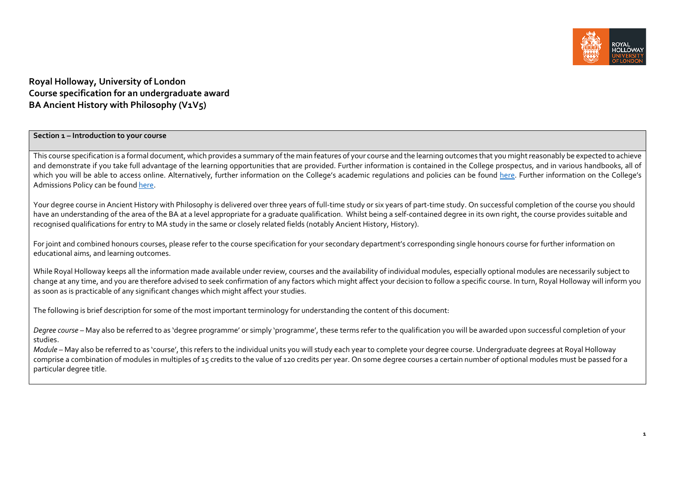

# **Royal Holloway, University of London Course specification for an undergraduate award BA Ancient History with Philosophy (V1V5)**

#### **Section 1 – Introduction to your course**

This course specification is a formal document, which provides a summary of the main features of your course and the learning outcomes that you might reasonably be expected to achieve and demonstrate if you take full advantage of the learning opportunities that are provided. Further information is contained in the College prospectus, and in various handbooks, all of which you will be able to access online. Alternatively, further information on the College's academic regulations and policies can be found [here.](https://intranet.royalholloway.ac.uk/staff/teaching/aqpo/academic-regulations-and-policies/academic-regulations-and-policies.aspx) Further information on the College's Admissions Policy can be foun[d here.](https://www.royalholloway.ac.uk/studying-here/applying/admissions-policy-and-procedures/)

Your degree course in Ancient History with Philosophy is delivered over three years of full-time study or six years of part-time study. On successful completion of the course you should have an understanding of the area of the BA at a level appropriate for a graduate qualification. Whilst being a self-contained degree in its own right, the course provides suitable and recognised qualifications for entry to MA study in the same or closely related fields (notably Ancient History, History).

For joint and combined honours courses, please refer to the course specification for your secondary department's corresponding single honours course for further information on educational aims, and learning outcomes.

While Royal Holloway keeps all the information made available under review, courses and the availability of individual modules, especially optional modules are necessarily subject to change at any time, and you are therefore advised to seek confirmation of any factors which might affect your decision to follow a specific course. In turn, Royal Holloway will inform you as soon as is practicable of any significant changes which might affect your studies.

The following is brief description for some of the most important terminology for understanding the content of this document:

*Degree course* – May also be referred to as 'degree programme' or simply 'programme', these terms refer to the qualification you will be awarded upon successful completion of your studies.

*Module* – May also be referred to as 'course', this refers to the individual units you will study each year to complete your degree course. Undergraduate degrees at Royal Holloway comprise a combination of modules in multiples of 15 credits to the value of 120 credits per year. On some degree courses a certain number of optional modules must be passed for a particular degree title.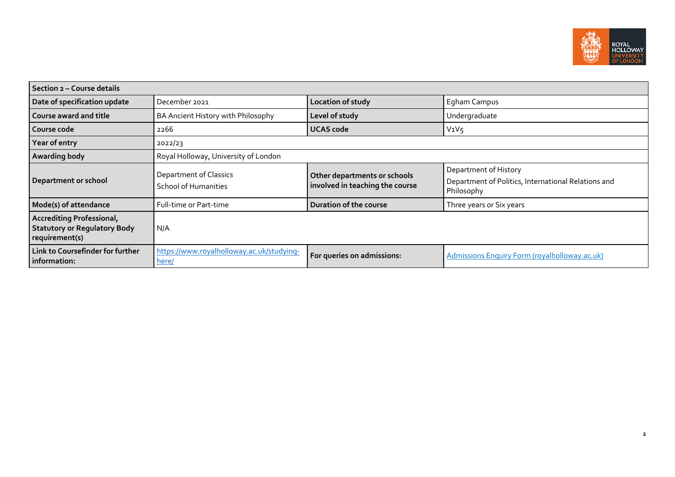

| Section 2 - Course details                                                                |                                                       |                                                                 |                                                                                            |  |
|-------------------------------------------------------------------------------------------|-------------------------------------------------------|-----------------------------------------------------------------|--------------------------------------------------------------------------------------------|--|
| Date of specification update                                                              | December 2021                                         | Location of study                                               | Egham Campus                                                                               |  |
| Course award and title                                                                    | BA Ancient History with Philosophy                    | Level of study                                                  | Undergraduate                                                                              |  |
| Course code                                                                               | 2266                                                  | <b>UCAS code</b>                                                | $V_1V_5$                                                                                   |  |
| Year of entry                                                                             | 2022/23                                               |                                                                 |                                                                                            |  |
| Awarding body                                                                             | Royal Holloway, University of London                  |                                                                 |                                                                                            |  |
| <b>Department or school</b>                                                               | Department of Classics<br><b>School of Humanities</b> | Other departments or schools<br>involved in teaching the course | Department of History<br>Department of Politics, International Relations and<br>Philosophy |  |
| Mode(s) of attendance                                                                     | Full-time or Part-time                                | Duration of the course                                          | Three years or Six years                                                                   |  |
| <b>Accrediting Professional,</b><br><b>Statutory or Regulatory Body</b><br>requirement(s) | N/A                                                   |                                                                 |                                                                                            |  |
| Link to Coursefinder for further<br>information:                                          | https://www.royalholloway.ac.uk/studying-<br>here/    | For queries on admissions:                                      | <b>Admissions Enquiry Form (royalholloway.ac.uk)</b>                                       |  |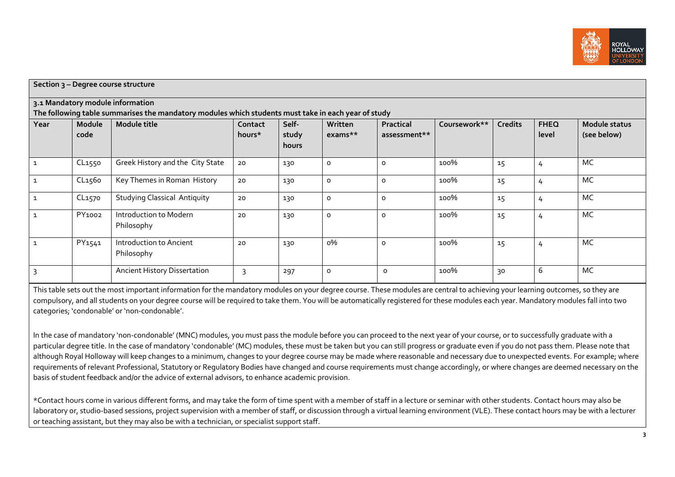

| Section 3 - Degree course structure |                    |                                                                                                     |         |                |           |              |              |                |             |               |
|-------------------------------------|--------------------|-----------------------------------------------------------------------------------------------------|---------|----------------|-----------|--------------|--------------|----------------|-------------|---------------|
|                                     |                    | 3.1 Mandatory module information                                                                    |         |                |           |              |              |                |             |               |
|                                     |                    | The following table summarises the mandatory modules which students must take in each year of study |         |                |           |              |              |                |             |               |
| Year                                | <b>Module</b>      | Module title                                                                                        | Contact | Self-          | Written   | Practical    | Coursework** | <b>Credits</b> | <b>FHEQ</b> | Module status |
|                                     | code               |                                                                                                     | hours*  | study<br>hours | $exams**$ | assessment** |              |                | level       | (see below)   |
| $\mathbf{1}$                        | CL1550             | Greek History and the City State                                                                    | 20      | 130            | $\circ$   | 0            | 100%         | 15             | 4           | MC            |
| $\mathbf{1}$                        | CL <sub>1560</sub> | Key Themes in Roman History                                                                         | 20      | 130            | $\circ$   | $\circ$      | 100%         | 15             | 4           | MC            |
| $\mathbf{1}$                        | CL <sub>1570</sub> | <b>Studying Classical Antiquity</b>                                                                 | 20      | 130            | $\circ$   | $\circ$      | 100%         | 15             | 4           | MC            |
| $\mathbf{1}$                        | PY1002             | Introduction to Modern<br>Philosophy                                                                | 20      | 130            | $\circ$   | $\circ$      | 100%         | 15             | 4           | MC            |
| $\mathbf{1}$                        | PY1541             | Introduction to Ancient<br>Philosophy                                                               | 20      | 130            | о%        | 0            | 100%         | 15             | 4           | MC            |
| 3                                   |                    | <b>Ancient History Dissertation</b>                                                                 | 3       | 297            | $\circ$   | $\circ$      | 100%         | 30             | 6           | MC            |

This table sets out the most important information for the mandatory modules on your degree course. These modules are central to achieving your learning outcomes, so they are compulsory, and all students on your degree course will be required to take them. You will be automatically registered for these modules each year. Mandatory modules fall into two categories; 'condonable' or 'non-condonable'.

In the case of mandatory 'non-condonable' (MNC) modules, you must pass the module before you can proceed to the next year of your course, or to successfully graduate with a particular degree title. In the case of mandatory 'condonable' (MC) modules, these must be taken but you can still progress or graduate even if you do not pass them. Please note that although Royal Holloway will keep changes to a minimum, changes to your degree course may be made where reasonable and necessary due to unexpected events. For example, where requirements of relevant Professional, Statutory or Regulatory Bodies have changed and course requirements must change accordingly, or where changes are deemed necessary on the basis of student feedback and/or the advice of external advisors, to enhance academic provision.

\*Contact hours come in various different forms, and may take the form of time spent with a member of staff in a lecture or seminar with other students. Contact hours may also be laboratory or, studio-based sessions, project supervision with a member of staff, or discussion through a virtual learning environment (VLE). These contact hours may be with a lecturer or teaching assistant, but they may also be with a technician, or specialist support staff.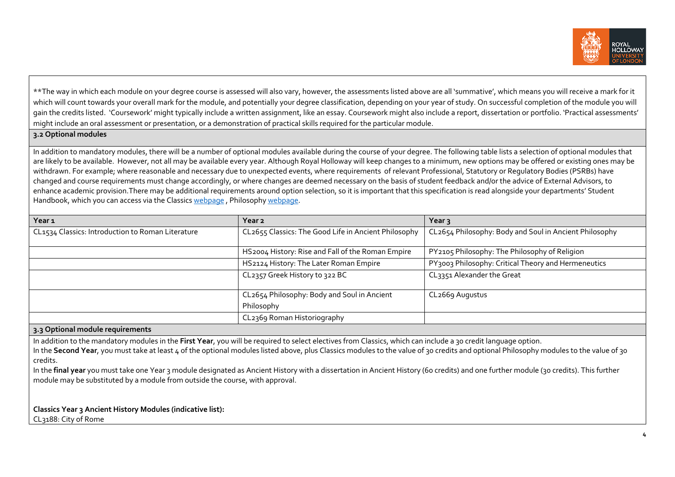

\*\*The way in which each module on your degree course is assessed will also vary, however, the assessments listed above are all 'summative', which means you will receive a mark for it which will count towards your overall mark for the module, and potentially your degree classification, depending on your year of study. On successful completion of the module you will gain the credits listed. 'Coursework' might typically include a written assignment, like an essay. Coursework might also include a report, dissertation or portfolio. 'Practical assessments' might include an oral assessment or presentation, or a demonstration of practical skills required for the particular module.

**3.2 Optional modules**

In addition to mandatory modules, there will be a number of optional modules available during the course of your degree. The following table lists a selection of optional modules that are likely to be available. However, not all may be available every year. Although Royal Holloway will keep changes to a minimum, new options may be offered or existing ones may be withdrawn. For example; where reasonable and necessary due to unexpected events, where requirements of relevant Professional, Statutory or Requlatory Bodies (PSRBs) have changed and course requirements must change accordingly, or where changes are deemed necessary on the basis of student feedback and/or the advice of External Advisors, to enhance academic provision.There may be additional requirements around option selection, so it is important that this specification is read alongside your departments' Student Handbook, which you can access via the Classics [webpage](https://www.royalholloway.ac.uk/research-and-teaching/departments-and-schools/classics/) , Philosoph[y webpage.](https://www.royalholloway.ac.uk/research-and-teaching/departments-and-schools/philosophy/)

| Year 1                                            | Year <sub>2</sub>                                    | Year $3$                                               |
|---------------------------------------------------|------------------------------------------------------|--------------------------------------------------------|
| CL1534 Classics: Introduction to Roman Literature | CL2655 Classics: The Good Life in Ancient Philosophy | CL2654 Philosophy: Body and Soul in Ancient Philosophy |
|                                                   |                                                      |                                                        |
|                                                   | HS2004 History: Rise and Fall of the Roman Empire    | PY2105 Philosophy: The Philosophy of Religion          |
|                                                   | HS2124 History: The Later Roman Empire               | PY3003 Philosophy: Critical Theory and Hermeneutics    |
|                                                   | CL2357 Greek History to 322 BC                       | CL3351 Alexander the Great                             |
|                                                   |                                                      |                                                        |
|                                                   | CL2654 Philosophy: Body and Soul in Ancient          | CL2669 Augustus                                        |
|                                                   | Philosophy                                           |                                                        |
|                                                   | CL2369 Roman Historiography                          |                                                        |

#### **3.3 Optional module requirements**

In addition to the mandatory modules in the **First Year**, you will be required to select electives from Classics, which can include a 30 credit language option. In the **Second Year**, you must take at least 4 of the optional modules listed above, plus Classics modules to the value of 30 credits and optional Philosophy modules to the value of 30 credits.

In the **final year** you must take one Year 3 module designated as Ancient History with a dissertation in Ancient History (60 credits) and one further module (30 credits). This further module may be substituted by a module from outside the course, with approval.

**Classics Year 3 Ancient History Modules (indicative list):** CL3188: City of Rome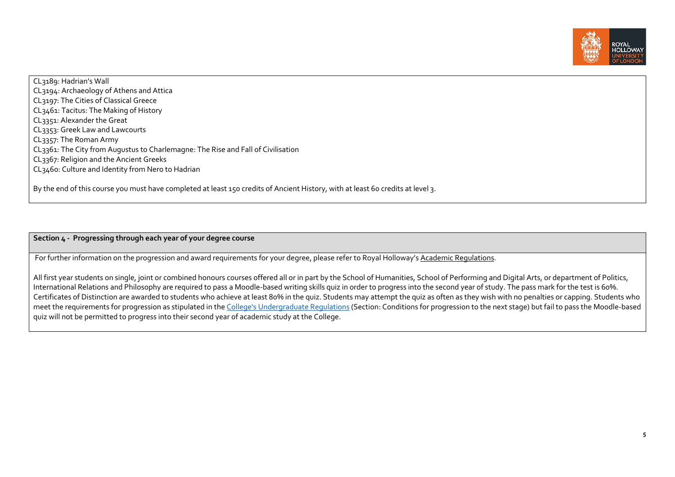

CL3189: Hadrian's Wall CL3194: Archaeology of Athens and Attica CL3197: The Cities of Classical Greece CL3461: Tacitus: The Making of History CL3351: Alexander the Great CL3353: Greek Law and Lawcourts CL3357: The Roman Army CL3361: The City from Augustus to Charlemagne: The Rise and Fall of Civilisation CL3367: Religion and the Ancient Greeks CL3460: Culture and Identity from Nero to Hadrian

By the end of this course you must have completed at least 150 credits of Ancient History, with at least 60 credits at level 3.

**Section 4 - Progressing through each year of your degree course**

For further information on the progression and award requirements for your degree, please refer to Royal Holloway'[s Academic Regulations.](https://www.royalholloway.ac.uk/students/study/our-college-regulations/attendance-and-academic-regulations.aspx)

All first year students on single, joint or combined honours courses offered all or in part by the School of Humanities, School of Performing and Digital Arts, or department of Politics, International Relations and Philosophy are required to pass a Moodle-based writing skills quiz in order to progress into the second year of study. The pass mark for the test is 60%. Certificates of Distinction are awarded to students who achieve at least 80% in the quiz. Students may attempt the quiz as often as they wish with no penalties or capping. Students who meet the requirements for progression as stipulated in th[e College's Undergraduate Regulations](http://www.rhul.ac.uk/forstudents/studying/academicregulations/home.aspx) (Section: Conditions for progression to the next stage) but fail to pass the Moodle-based quiz will not be permitted to progress into their second year of academic study at the College.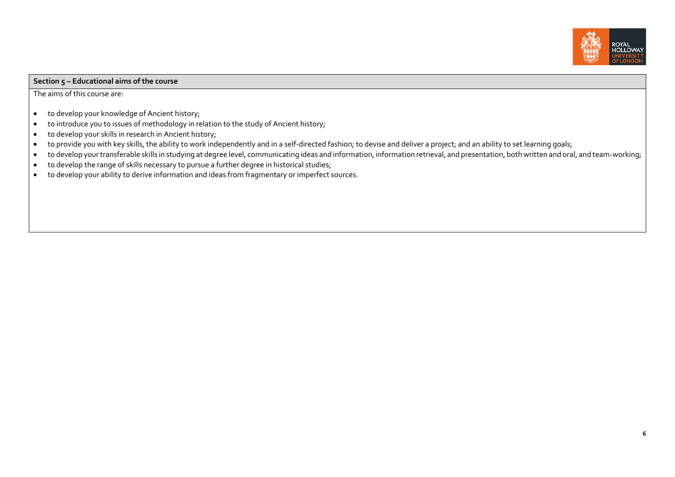

### **Section 5 – Educational aims of the course**

The aims of this course are:

- to develop your knowledge of Ancient history;
- to introduce you to issues of methodology in relation to the study of Ancient history;
- to develop your skills in research in Ancient history;
- to provide you with key skills, the ability to work independently and in a self-directed fashion; to devise and deliver a project; and an ability to set learning goals;
- to develop your transferable skills in studying at degree level, communicating ideas and information, information retrieval, and presentation, both written and oral, and team-working;
- to develop the range of skills necessary to pursue a further degree in historical studies;
- to develop your ability to derive information and ideas from fragmentary or imperfect sources.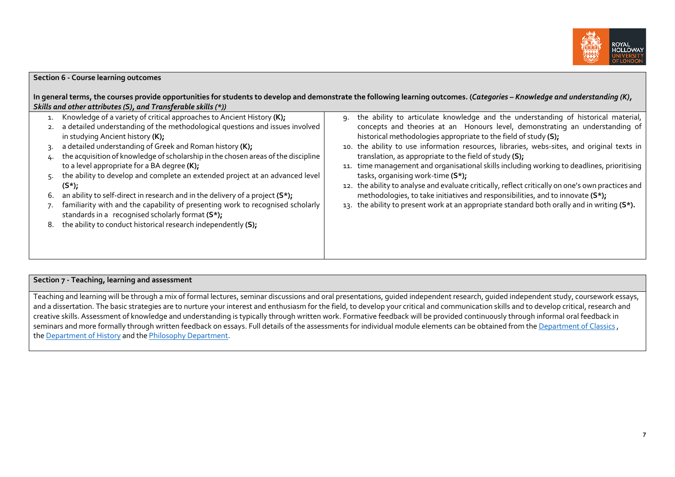

| <b>Section 6 - Course learning outcomes</b>                                                                                                                                                                                                                                                                                                                                                                                                                                                                                                                                                                                                                                                                                                                                                                                                              |                                                                                                                                                                                                                                                                                                                                                                                                                                                                                                                                                                                                                                                                                                                                                                                                                                                                                                                                                                                                            |
|----------------------------------------------------------------------------------------------------------------------------------------------------------------------------------------------------------------------------------------------------------------------------------------------------------------------------------------------------------------------------------------------------------------------------------------------------------------------------------------------------------------------------------------------------------------------------------------------------------------------------------------------------------------------------------------------------------------------------------------------------------------------------------------------------------------------------------------------------------|------------------------------------------------------------------------------------------------------------------------------------------------------------------------------------------------------------------------------------------------------------------------------------------------------------------------------------------------------------------------------------------------------------------------------------------------------------------------------------------------------------------------------------------------------------------------------------------------------------------------------------------------------------------------------------------------------------------------------------------------------------------------------------------------------------------------------------------------------------------------------------------------------------------------------------------------------------------------------------------------------------|
| Skills and other attributes (S), and Transferable skills (*))<br>Knowledge of a variety of critical approaches to Ancient History (K);<br>a detailed understanding of the methodological questions and issues involved<br>in studying Ancient history (K);<br>a detailed understanding of Greek and Roman history (K);<br>the acquisition of knowledge of scholarship in the chosen areas of the discipline<br>to a level appropriate for a BA degree (K);<br>the ability to develop and complete an extended project at an advanced level<br>$(S^*)$ ;<br>an ability to self-direct in research and in the delivery of a project $(S^*)$ ;<br>6.<br>familiarity with and the capability of presenting work to recognised scholarly<br>standards in a recognised scholarly format (S*);<br>the ability to conduct historical research independently (S); | In general terms, the courses provide opportunities for students to develop and demonstrate the following learning outcomes. (Categories - Knowledge and understanding (K),<br>the ability to articulate knowledge and the understanding of historical material,<br>۹.<br>concepts and theories at an Honours level, demonstrating an understanding of<br>historical methodologies appropriate to the field of study (S);<br>10. the ability to use information resources, libraries, webs-sites, and original texts in<br>translation, as appropriate to the field of study (S);<br>11. time management and organisational skills including working to deadlines, prioritising<br>tasks, organising work-time (S*);<br>12. the ability to analyse and evaluate critically, reflect critically on one's own practices and<br>methodologies, to take initiatives and responsibilities, and to innovate (S*);<br>13. the ability to present work at an appropriate standard both orally and in writing (S*). |
|                                                                                                                                                                                                                                                                                                                                                                                                                                                                                                                                                                                                                                                                                                                                                                                                                                                          |                                                                                                                                                                                                                                                                                                                                                                                                                                                                                                                                                                                                                                                                                                                                                                                                                                                                                                                                                                                                            |

## **Section 7 - Teaching, learning and assessment**

Teaching and learning will be through a mix of formal lectures, seminar discussions and oral presentations, quided independent research, quided independent study, coursework essays, and a dissertation. The basic strategies are to nurture your interest and enthusiasm for the field, to develop your critical and communication skills and to develop critical, research and creative skills. Assessment of knowledge and understanding is typically through written work. Formative feedback will be provided continuously through informal oral feedback in seminars and more formally through written feedback on essays. Full details of the assessments for individual module elements can be obtained from th[e Department of](http://www.rhul.ac.uk/classics/home.aspx) Classics, th[e Department of History](http://www.rhul.ac.uk/history/home.aspx) and the [Philosophy Department.](https://www.royalholloway.ac.uk/research-and-teaching/departments-and-schools/philosophy/)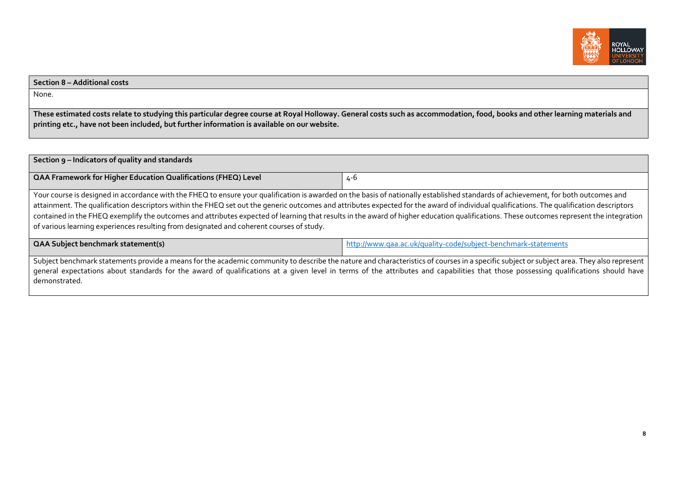

#### **Section 8 – Additional costs**

None.

**These estimated costs relate to studying this particular degree course at Royal Holloway. General costs such as accommodation, food, books and other learning materials and printing etc., have not been included, but further information is available on our website.**

| Section 9 - Indicators of quality and standards                                                                                                                                                                                                                                                                                                                                                                                                                                                                                                                                                                                                                       |                                                                |  |  |
|-----------------------------------------------------------------------------------------------------------------------------------------------------------------------------------------------------------------------------------------------------------------------------------------------------------------------------------------------------------------------------------------------------------------------------------------------------------------------------------------------------------------------------------------------------------------------------------------------------------------------------------------------------------------------|----------------------------------------------------------------|--|--|
| QAA Framework for Higher Education Qualifications (FHEQ) Level                                                                                                                                                                                                                                                                                                                                                                                                                                                                                                                                                                                                        | 4-6                                                            |  |  |
| Your course is designed in accordance with the FHEQ to ensure your qualification is awarded on the basis of nationally established standards of achievement, for both outcomes and<br>attainment. The qualification descriptors within the FHEQ set out the generic outcomes and attributes expected for the award of individual qualifications. The qualification descriptors<br>contained in the FHEQ exemplify the outcomes and attributes expected of learning that results in the award of higher education qualifications. These outcomes represent the integration<br>of various learning experiences resulting from designated and coherent courses of study. |                                                                |  |  |
| <b>QAA Subject benchmark statement(s)</b>                                                                                                                                                                                                                                                                                                                                                                                                                                                                                                                                                                                                                             | http://www.qaa.ac.uk/quality-code/subject-benchmark-statements |  |  |
| Subject benchmark statements provide a means for the academic community to describe the nature and characteristics of courses in a specific subject or subject area. They also represent<br>general expectations about standards for the award of qualifications at a given level in terms of the attributes and capabilities that those possessing qualifications should have<br>demonstrated.                                                                                                                                                                                                                                                                       |                                                                |  |  |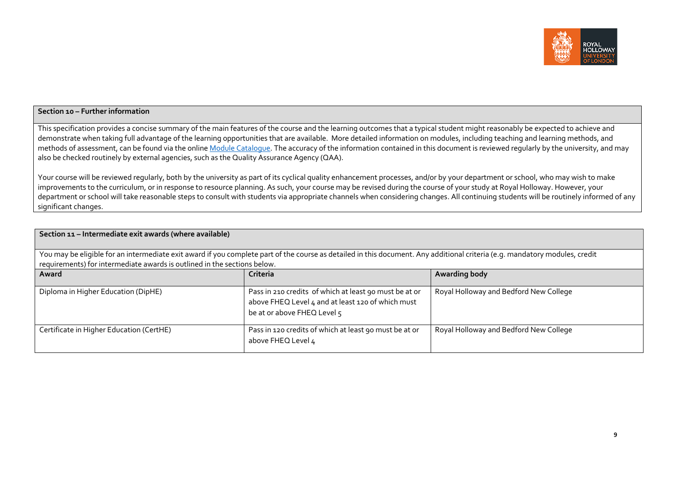

# **Section 10 – Further information**

This specification provides a concise summary of the main features of the course and the learning outcomes that a typical student might reasonably be expected to achieve and demonstrate when taking full advantage of the learning opportunities that are available. More detailed information on modules, including teaching and learning methods, and methods of assessment, can be found via the online Module [Catalogue.](https://ssb-prod.ec.royalholloway.ac.uk/PROD/bwckctlg.p_disp_dyn_ctlg) The accuracy of the information contained in this document is reviewed regularly by the university, and may also be checked routinely by external agencies, such as the Quality Assurance Agency (QAA).

Your course will be reviewed regularly, both by the university as part of its cyclical quality enhancement processes, and/or by your department or school, who may wish to make improvements to the curriculum, or in response to resource planning. As such, your course may be revised during the course of your study at Royal Holloway. However, your department or school will take reasonable steps to consult with students via appropriate channels when considering changes. All continuing students will be routinely informed of any significant changes.

| Section 11 - Intermediate exit awards (where available)                                                                                                                                                                                                 |                                                                                                                                            |                                        |  |  |
|---------------------------------------------------------------------------------------------------------------------------------------------------------------------------------------------------------------------------------------------------------|--------------------------------------------------------------------------------------------------------------------------------------------|----------------------------------------|--|--|
| You may be eligible for an intermediate exit award if you complete part of the course as detailed in this document. Any additional criteria (e.g. mandatory modules, credit<br>requirements) for intermediate awards is outlined in the sections below. |                                                                                                                                            |                                        |  |  |
| Award                                                                                                                                                                                                                                                   | Criteria                                                                                                                                   | <b>Awarding body</b>                   |  |  |
| Diploma in Higher Education (DipHE)                                                                                                                                                                                                                     | Pass in 210 credits of which at least 90 must be at or<br>above FHEQ Level 4 and at least 120 of which must<br>be at or above FHEQ Level 5 | Royal Holloway and Bedford New College |  |  |
| Certificate in Higher Education (CertHE)                                                                                                                                                                                                                | Pass in 120 credits of which at least 90 must be at or<br>above FHEQ Level 4                                                               | Royal Holloway and Bedford New College |  |  |